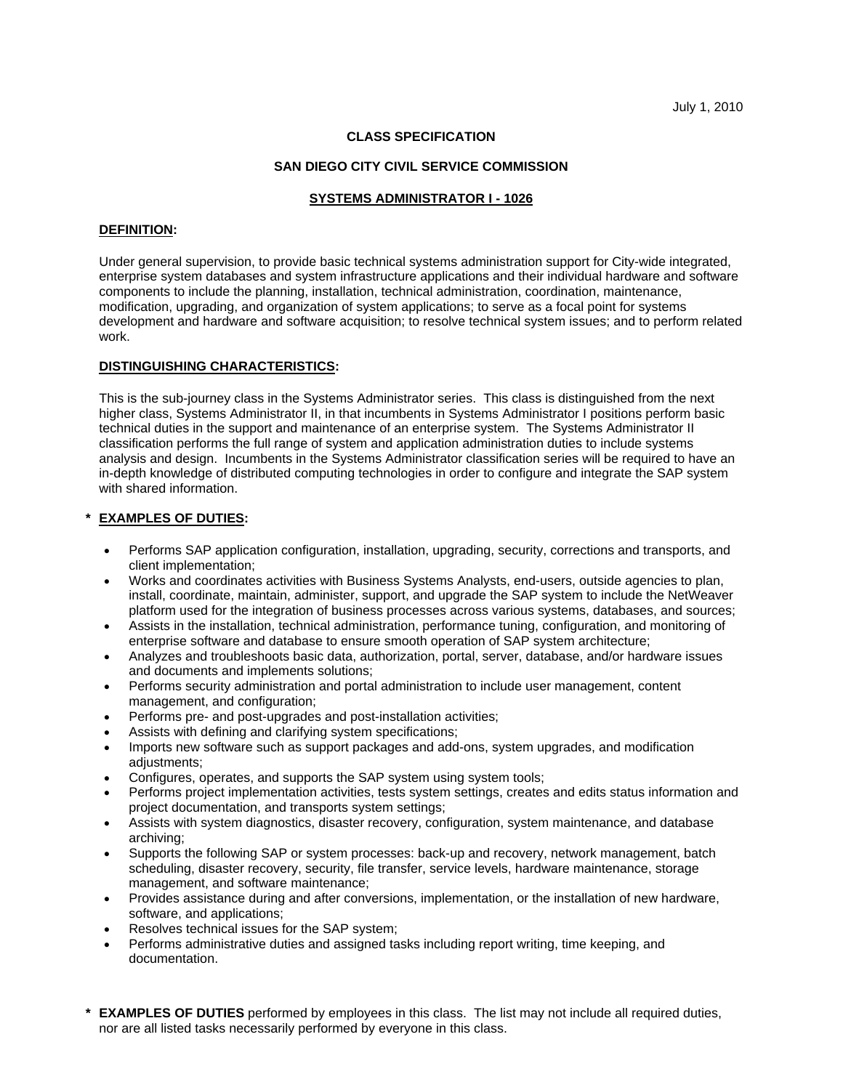## **CLASS SPECIFICATION**

## **SAN DIEGO CITY CIVIL SERVICE COMMISSION**

#### **SYSTEMS ADMINISTRATOR I - 1026**

#### **DEFINITION:**

Under general supervision, to provide basic technical systems administration support for City-wide integrated, enterprise system databases and system infrastructure applications and their individual hardware and software components to include the planning, installation, technical administration, coordination, maintenance, modification, upgrading, and organization of system applications; to serve as a focal point for systems development and hardware and software acquisition; to resolve technical system issues; and to perform related work.

## **DISTINGUISHING CHARACTERISTICS:**

This is the sub-journey class in the Systems Administrator series. This class is distinguished from the next higher class, Systems Administrator II, in that incumbents in Systems Administrator I positions perform basic technical duties in the support and maintenance of an enterprise system. The Systems Administrator II classification performs the full range of system and application administration duties to include systems analysis and design. Incumbents in the Systems Administrator classification series will be required to have an in-depth knowledge of distributed computing technologies in order to configure and integrate the SAP system with shared information.

## **\* EXAMPLES OF DUTIES:**

- Performs SAP application configuration, installation, upgrading, security, corrections and transports, and client implementation;
- Works and coordinates activities with Business Systems Analysts, end-users, outside agencies to plan, install, coordinate, maintain, administer, support, and upgrade the SAP system to include the NetWeaver platform used for the integration of business processes across various systems, databases, and sources;
- • Assists in the installation, technical administration, performance tuning, configuration, and monitoring of enterprise software and database to ensure smooth operation of SAP system architecture;
- Analyzes and troubleshoots basic data, authorization, portal, server, database, and/or hardware issues and documents and implements solutions;
- Performs security administration and portal administration to include user management, content management, and configuration;
- Performs pre- and post-upgrades and post-installation activities;
- Assists with defining and clarifying system specifications;
- Imports new software such as support packages and add-ons, system upgrades, and modification adjustments;
- Configures, operates, and supports the SAP system using system tools;
- Performs project implementation activities, tests system settings, creates and edits status information and project documentation, and transports system settings;
- Assists with system diagnostics, disaster recovery, configuration, system maintenance, and database archiving;
- Supports the following SAP or system processes: back-up and recovery, network management, batch scheduling, disaster recovery, security, file transfer, service levels, hardware maintenance, storage management, and software maintenance;
- Provides assistance during and after conversions, implementation, or the installation of new hardware, software, and applications;
- Resolves technical issues for the SAP system;
- Performs administrative duties and assigned tasks including report writing, time keeping, and documentation.
- **\* EXAMPLES OF DUTIES** performed by employees in this class. The list may not include all required duties, nor are all listed tasks necessarily performed by everyone in this class.